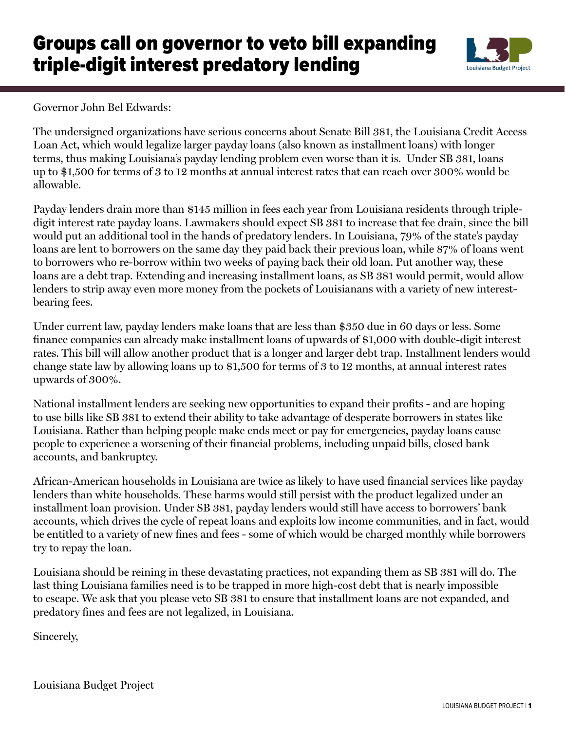## Groups call on governor to veto bill expanding triple-digit interest predatory lending



Governor John Bel Edwards:

The undersigned organizations have serious concerns about Senate Bill 381, the Louisiana Credit Access Loan Act, which would legalize larger payday loans (also known as installment loans) with longer terms, thus making Louisiana's payday lending problem even worse than it is. Under SB 381, loans up to \$1,500 for terms of 3 to 12 months at annual interest rates that can reach over 300% would be allowable.

Payday lenders drain more than \$145 million in fees each year from Louisiana residents through tripledigit interest rate payday loans. Lawmakers should expect SB 381 to increase that fee drain, since the bill would put an additional tool in the hands of predatory lenders. In Louisiana, 79% of the state's payday loans are lent to borrowers on the same day they paid back their previous loan, while 87% of loans went to borrowers who re-borrow within two weeks of paying back their old loan. Put another way, these loans are a debt trap. Extending and increasing installment loans, as SB 381 would permit, would allow lenders to strip away even more money from the pockets of Louisianans with a variety of new interestbearing fees.

Under current law, payday lenders make loans that are less than \$350 due in 60 days or less. Some finance companies can already make installment loans of upwards of \$1,000 with double-digit interest rates. This bill will allow another product that is a longer and larger debt trap. Installment lenders would change state law by allowing loans up to \$1,500 for terms of 3 to 12 months, at annual interest rates upwards of 300%.

National installment lenders are seeking new opportunities to expand their profits - and are hoping to use bills like SB 381 to extend their ability to take advantage of desperate borrowers in states like Louisiana. Rather than helping people make ends meet or pay for emergencies, payday loans cause people to experience a worsening of their financial problems, including unpaid bills, closed bank accounts, and bankruptcy.

African-American households in Louisiana are twice as likely to have used financial services like payday lenders than white households. These harms would still persist with the product legalized under an installment loan provision. Under SB 381, payday lenders would still have access to borrowers' bank accounts, which drives the cycle of repeat loans and exploits low income communities, and in fact, would be entitled to a variety of new fines and fees - some of which would be charged monthly while borrowers try to repay the loan.

Louisiana should be reining in these devastating practices, not expanding them as SB 381 will do. The last thing Louisiana families need is to be trapped in more high-cost debt that is nearly impossible to escape. We ask that you please veto SB 381 to ensure that installment loans are not expanded, and predatory fines and fees are not legalized, in Louisiana.

Sincerely,